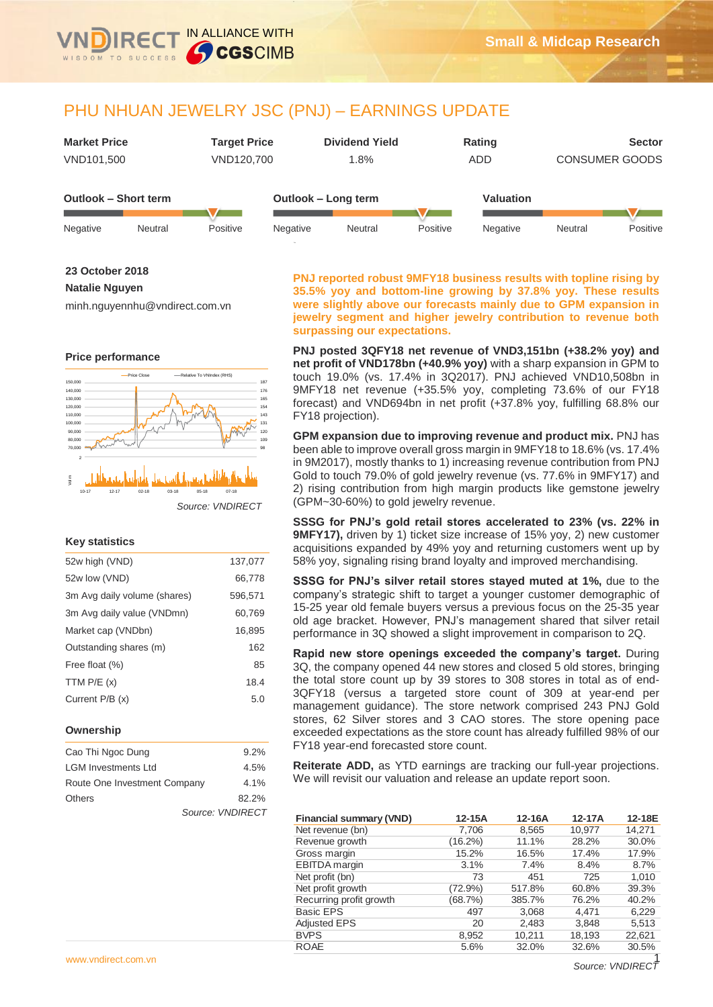

IN ALLIANCE WITH

**CGSCIMB** 

| <b>Market Price</b>         | <b>Target Price</b> | <b>Dividend Yield</b> | Rating           | <b>Sector</b>         |
|-----------------------------|---------------------|-----------------------|------------------|-----------------------|
| VND101.500                  | VND120.700          | 1.8%                  | ADD              | <b>CONSUMER GOODS</b> |
| <b>Outlook – Short term</b> |                     | Outlook – Long term   | <b>Valuation</b> |                       |

| Negative | Neutral | Positive | Negative | Neutral | Positive | Negative | Neutral | Positive |
|----------|---------|----------|----------|---------|----------|----------|---------|----------|

**23 October 2018**

## **Natalie Nguyen**

minh.nguyennhu@vndirect.com.vn

### **Price performance**



### **Key statistics**

| 52w high (VND)               | 137,077 |
|------------------------------|---------|
| 52w low (VND)                | 66,778  |
| 3m Avg daily volume (shares) | 596,571 |
| 3m Avg daily value (VNDmn)   | 60,769  |
| Market cap (VNDbn)           | 16,895  |
| Outstanding shares (m)       | 162     |
| Free float (%)               | 85      |
| TTM $P/E(x)$                 | 18.4    |
| Current P/B (x)              | 5.0     |
|                              |         |

### **Ownership**

| Cao Thi Ngoc Dung            | 9.2%             |
|------------------------------|------------------|
| <b>LGM Investments Ltd</b>   | 4.5%             |
| Route One Investment Company | 4.1%             |
| <b>Others</b>                | 82.2%            |
|                              | Source: VNDIRECT |

**PNJ reported robust 9MFY18 business results with topline rising by 35.5% yoy and bottom-line growing by 37.8% yoy. These results were slightly above our forecasts mainly due to GPM expansion in jewelry segment and higher jewelry contribution to revenue both surpassing our expectations.** 

**PNJ posted 3QFY18 net revenue of VND3,151bn (+38.2% yoy) and net profit of VND178bn (+40.9% yoy)** with a sharp expansion in GPM to touch 19.0% (vs. 17.4% in 3Q2017). PNJ achieved VND10,508bn in 9MFY18 net revenue (+35.5% yoy, completing 73.6% of our FY18 forecast) and VND694bn in net profit (+37.8% yoy, fulfilling 68.8% our FY18 projection).

**GPM expansion due to improving revenue and product mix.** PNJ has been able to improve overall gross margin in 9MFY18 to 18.6% (vs. 17.4% in 9M2017), mostly thanks to 1) increasing revenue contribution from PNJ Gold to touch 79.0% of gold jewelry revenue (vs. 77.6% in 9MFY17) and 2) rising contribution from high margin products like gemstone jewelry (GPM~30-60%) to gold jewelry revenue.

**SSSG for PNJ's gold retail stores accelerated to 23% (vs. 22% in 9MFY17),** driven by 1) ticket size increase of 15% yoy, 2) new customer acquisitions expanded by 49% yoy and returning customers went up by 58% yoy, signaling rising brand loyalty and improved merchandising.

**SSSG for PNJ's silver retail stores stayed muted at 1%,** due to the company's strategic shift to target a younger customer demographic of 15-25 year old female buyers versus a previous focus on the 25-35 year old age bracket. However, PNJ's management shared that silver retail performance in 3Q showed a slight improvement in comparison to 2Q.

**Rapid new store openings exceeded the company's target.** During 3Q, the company opened 44 new stores and closed 5 old stores, bringing the total store count up by 39 stores to 308 stores in total as of end-3QFY18 (versus a targeted store count of 309 at year-end per management guidance). The store network comprised 243 PNJ Gold stores, 62 Silver stores and 3 CAO stores. The store opening pace exceeded expectations as the store count has already fulfilled 98% of our FY18 year-end forecasted store count.

**Reiterate ADD,** as YTD earnings are tracking our full-year projections. We will revisit our valuation and release an update report soon.

| <b>Financial summary (VND)</b> | 12-15A  | 12-16A | 12-17A | 12-18E |
|--------------------------------|---------|--------|--------|--------|
| Net revenue (bn)               | 7,706   | 8,565  | 10,977 | 14,271 |
| Revenue growth                 | (16.2%) | 11.1%  | 28.2%  | 30.0%  |
| Gross margin                   | 15.2%   | 16.5%  | 17.4%  | 17.9%  |
| <b>EBITDA</b> margin           | 3.1%    | 7.4%   | 8.4%   | 8.7%   |
| Net profit (bn)                | 73      | 451    | 725    | 1.010  |
| Net profit growth              | (72.9%) | 517.8% | 60.8%  | 39.3%  |
| Recurring profit growth        | (68.7%) | 385.7% | 76.2%  | 40.2%  |
| <b>Basic EPS</b>               | 497     | 3,068  | 4,471  | 6,229  |
| <b>Adjusted EPS</b>            | 20      | 2,483  | 3,848  | 5,513  |
| <b>BVPS</b>                    | 8,952   | 10,211 | 18,193 | 22,621 |
| <b>ROAE</b>                    | 5.6%    | 32.0%  | 32.6%  | 30.5%  |

Source: **VNDIREC**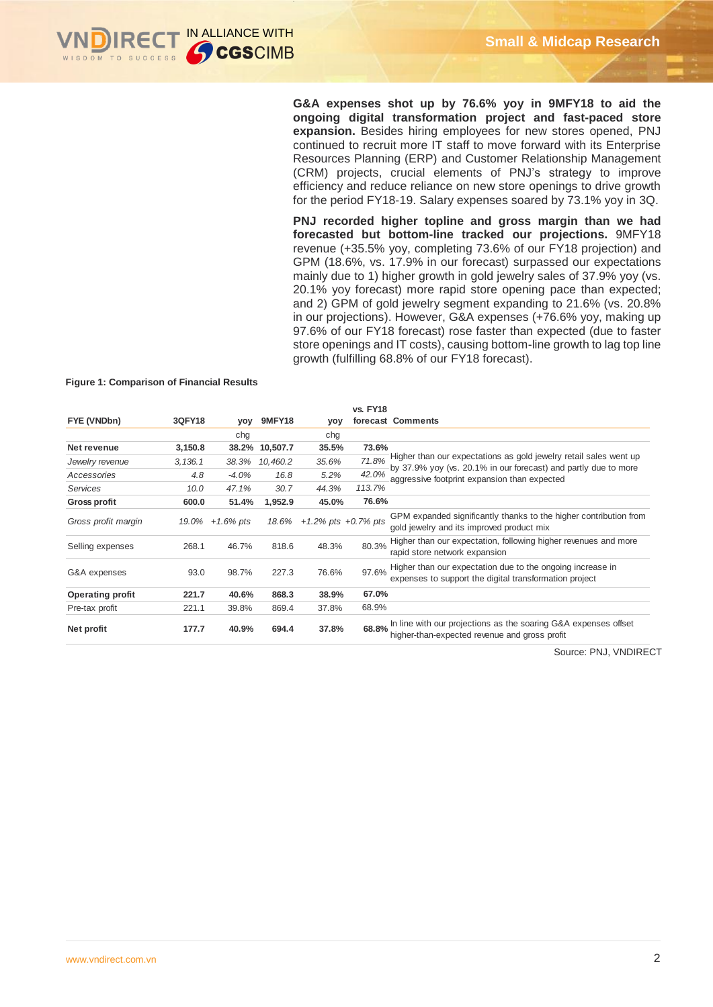## **G&A expenses shot up by 76.6% yoy in 9MFY18 to aid the ongoing digital transformation project and fast-paced store expansion.** Besides hiring employees for new stores opened, PNJ continued to recruit more IT staff to move forward with its Enterprise Resources Planning (ERP) and Customer Relationship Management (CRM) projects, crucial elements of PNJ's strategy to improve efficiency and reduce reliance on new store openings to drive growth for the period FY18-19. Salary expenses soared by 73.1% yoy in 3Q.

**PNJ recorded higher topline and gross margin than we had forecasted but bottom-line tracked our projections.** 9MFY18 revenue (+35.5% yoy, completing 73.6% of our FY18 projection) and GPM (18.6%, vs. 17.9% in our forecast) surpassed our expectations mainly due to 1) higher growth in gold jewelry sales of 37.9% yoy (vs. 20.1% yoy forecast) more rapid store opening pace than expected; and 2) GPM of gold jewelry segment expanding to 21.6% (vs. 20.8% in our projections). However, G&A expenses (+76.6% yoy, making up 97.6% of our FY18 forecast) rose faster than expected (due to faster store openings and IT costs), causing bottom-line growth to lag top line growth (fulfilling 68.8% of our FY18 forecast).

#### **Figure 1: Comparison of Financial Results**

|                         |               |              |               |                           | <b>vs. FY18</b> |                                                                                                                        |
|-------------------------|---------------|--------------|---------------|---------------------------|-----------------|------------------------------------------------------------------------------------------------------------------------|
| FYE (VNDbn)             | <b>3QFY18</b> | yoy          | <b>9MFY18</b> | yoy                       |                 | forecast Comments                                                                                                      |
|                         |               | chg          |               | chg                       |                 |                                                                                                                        |
| Net revenue             | 3,150.8       | 38.2%        | 10,507.7      | 35.5%                     | 73.6%           |                                                                                                                        |
| Jewelry revenue         | 3, 136.1      | 38.3%        | 10,460.2      | 35.6%                     | 71.8%           | Higher than our expectations as gold jewelry retail sales went up                                                      |
| Accessories             | 4.8           | $-4.0%$      | 16.8          | 5.2%                      | 42.0%           | by 37.9% yoy (vs. 20.1% in our forecast) and partly due to more<br>aggressive footprint expansion than expected        |
| Services                | 10.0          | 47.1%        | 30.7          | 44.3%                     | 113.7%          |                                                                                                                        |
| <b>Gross profit</b>     | 600.0         | 51.4%        | 1,952.9       | 45.0%                     | 76.6%           |                                                                                                                        |
| Gross profit margin     | 19.0%         | $+1.6\%$ pts | 18.6%         | $+1.2\%$ pts $+0.7\%$ pts |                 | GPM expanded significantly thanks to the higher contribution from<br>gold jewelry and its improved product mix         |
| Selling expenses        | 268.1         | 46.7%        | 818.6         | 48.3%                     | 80.3%           | Higher than our expectation, following higher revenues and more<br>rapid store network expansion                       |
| G&A expenses            | 93.0          | 98.7%        | 227.3         | 76.6%                     | 97.6%           | Higher than our expectation due to the ongoing increase in<br>expenses to support the digital transformation project   |
| <b>Operating profit</b> | 221.7         | 40.6%        | 868.3         | 38.9%                     | 67.0%           |                                                                                                                        |
| Pre-tax profit          | 221.1         | 39.8%        | 869.4         | 37.8%                     | 68.9%           |                                                                                                                        |
| Net profit              | 177.7         | 40.9%        | 694.4         | 37.8%                     |                 | 68.8% In line with our projections as the soaring G&A expenses offset<br>higher-than-expected revenue and gross profit |

Source: PNJ, VNDIRECT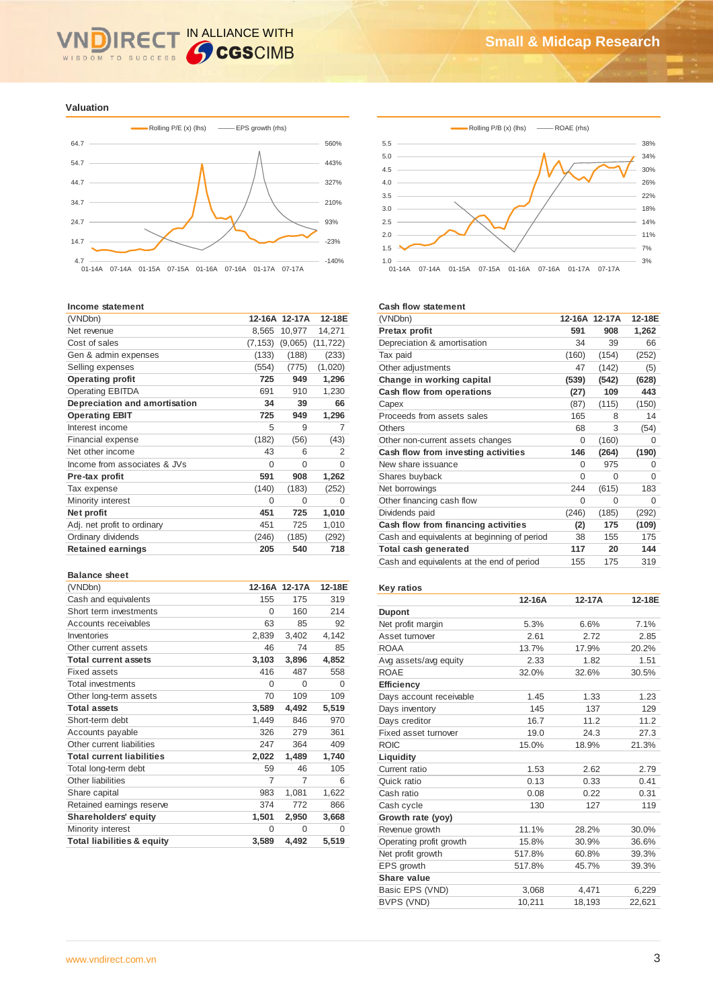### IN ALLIANCE WITH R WISDOM TO SUCCESS

**Valuation**



#### **Income statement**

| (VNDbn)                       |          | 12-16A 12-17A | 12-18E         |
|-------------------------------|----------|---------------|----------------|
| Net revenue                   | 8,565    | 10,977        | 14,271         |
| Cost of sales                 | (7, 153) | (9,065)       | (11, 722)      |
| Gen & admin expenses          | (133)    | (188)         | (233)          |
| Selling expenses              | (554)    | (775)         | (1,020)        |
| <b>Operating profit</b>       | 725      | 949           | 1,296          |
| <b>Operating EBITDA</b>       | 691      | 910           | 1,230          |
| Depreciation and amortisation | 34       | 39            | 66             |
| <b>Operating EBIT</b>         | 725      | 949           | 1,296          |
| Interest income               | 5        | 9             | 7              |
| Financial expense             | (182)    | (56)          | (43)           |
| Net other income              | 43       | 6             | $\overline{2}$ |
| Income from associates & JVs  | $\Omega$ | O             | $\Omega$       |
| Pre-tax profit                | 591      | 908           | 1,262          |
| Tax expense                   | (140)    | (183)         | (252)          |
| Minority interest             | 0        | 0             | 0              |
| Net profit                    | 451      | 725           | 1,010          |
| Adj. net profit to ordinary   | 451      | 725           | 1,010          |
| Ordinary dividends            | (246)    | (185)         | (292)          |
| <b>Retained earnings</b>      | 205      | 540           | 718            |

#### **Balance sheet**

| (VNDbn)                               |          | 12-16A 12-17A  | 12-18E   |
|---------------------------------------|----------|----------------|----------|
| Cash and equivalents                  | 155      | 175            | 319      |
| Short term investments                | $\Omega$ | 160            | 214      |
| Accounts receivables                  | 63       | 85             | 92       |
| Inventories                           | 2,839    | 3,402          | 4,142    |
| Other current assets                  | 46       | 74             | 85       |
| <b>Total current assets</b>           | 3,103    | 3,896          | 4,852    |
| <b>Fixed assets</b>                   | 416      | 487            | 558      |
| <b>Total investments</b>              | $\Omega$ | $\Omega$       | $\Omega$ |
| Other long-term assets                | 70       | 109            | 109      |
| <b>Total assets</b>                   | 3,589    | 4,492          | 5,519    |
| Short-term debt                       | 1,449    | 846            | 970      |
| Accounts payable                      | 326      | 279            | 361      |
| Other current liabilities             | 247      | 364            | 409      |
| <b>Total current liabilities</b>      | 2,022    | 1,489          | 1,740    |
| Total long-term debt                  | 59       | 46             | 105      |
| Other liabilities                     | 7        | $\overline{7}$ | 6        |
| Share capital                         | 983      | 1,081          | 1,622    |
| Retained earnings reserve             | 374      | 772            | 866      |
| <b>Shareholders' equity</b>           | 1,501    | 2,950          | 3,668    |
| Minority interest                     | $\Omega$ | $\Omega$       | 0        |
| <b>Total liabilities &amp; equity</b> | 3,589    | 4,492          | 5,519    |



#### **Cash flow statement**

| (VNDbn)                                     |          | 12-16A 12-17A | 12-18E   |
|---------------------------------------------|----------|---------------|----------|
| Pretax profit                               | 591      | 908           | 1,262    |
| Depreciation & amortisation                 | 34       | 39            | 66       |
| Tax paid                                    | (160)    | (154)         | (252)    |
| Other adjustments                           | 47       | (142)         | (5)      |
| Change in working capital                   | (539)    | (542)         | (628)    |
| Cash flow from operations                   | (27)     | 109           | 443      |
| Capex                                       | (87)     | (115)         | (150)    |
| Proceeds from assets sales                  | 165      | 8             | 14       |
| Others                                      | 68       | 3             | (54)     |
| Other non-current assets changes            | 0        | (160)         | 0        |
| Cash flow from investing activities         | 146      | (264)         | (190)    |
| New share issuance                          | $\Omega$ | 975           | $\Omega$ |
| Shares buyback                              | $\Omega$ | 0             | $\Omega$ |
| Net borrowings                              | 244      | (615)         | 183      |
| Other financing cash flow                   | $\Omega$ | 0             | $\Omega$ |
| Dividends paid                              | (246)    | (185)         | (292)    |
| Cash flow from financing activities         | (2)      | 175           | (109)    |
| Cash and equivalents at beginning of period | 38       | 155           | 175      |
| Total cash generated                        | 117      | 20            | 144      |
| Cash and equivalents at the end of period   | 155      | 175           | 319      |
|                                             |          |               |          |

## **Key ratios**

|                         | 12-16A | 12-17A | 12-18E |
|-------------------------|--------|--------|--------|
| <b>Dupont</b>           |        |        |        |
| Net profit margin       | 5.3%   | 6.6%   | 7.1%   |
| Asset turnover          | 2.61   | 2.72   | 2.85   |
| <b>ROAA</b>             | 13.7%  | 17.9%  | 20.2%  |
| Avg assets/avg equity   | 2.33   | 1.82   | 1.51   |
| <b>ROAE</b>             | 32.0%  | 32.6%  | 30.5%  |
| <b>Efficiency</b>       |        |        |        |
| Days account receivable | 1.45   | 1.33   | 1.23   |
| Days inventory          | 145    | 137    | 129    |
| Days creditor           | 16.7   | 11.2   | 11.2   |
| Fixed asset turnover    | 19.0   | 24.3   | 27.3   |
| <b>ROIC</b>             | 15.0%  | 18.9%  | 21.3%  |
| Liquidity               |        |        |        |
| Current ratio           | 1.53   | 2.62   | 2.79   |
| Quick ratio             | 0.13   | 0.33   | 0.41   |
| Cash ratio              | 0.08   | 0.22   | 0.31   |
| Cash cycle              | 130    | 127    | 119    |
| Growth rate (yoy)       |        |        |        |
| Revenue growth          | 11.1%  | 28.2%  | 30.0%  |
| Operating profit growth | 15.8%  | 30.9%  | 36.6%  |
| Net profit growth       | 517.8% | 60.8%  | 39.3%  |
| EPS growth              | 517.8% | 45.7%  | 39.3%  |
| Share value             |        |        |        |
| Basic EPS (VND)         | 3,068  | 4,471  | 6,229  |
| BVPS (VND)              | 10,211 | 18,193 | 22,621 |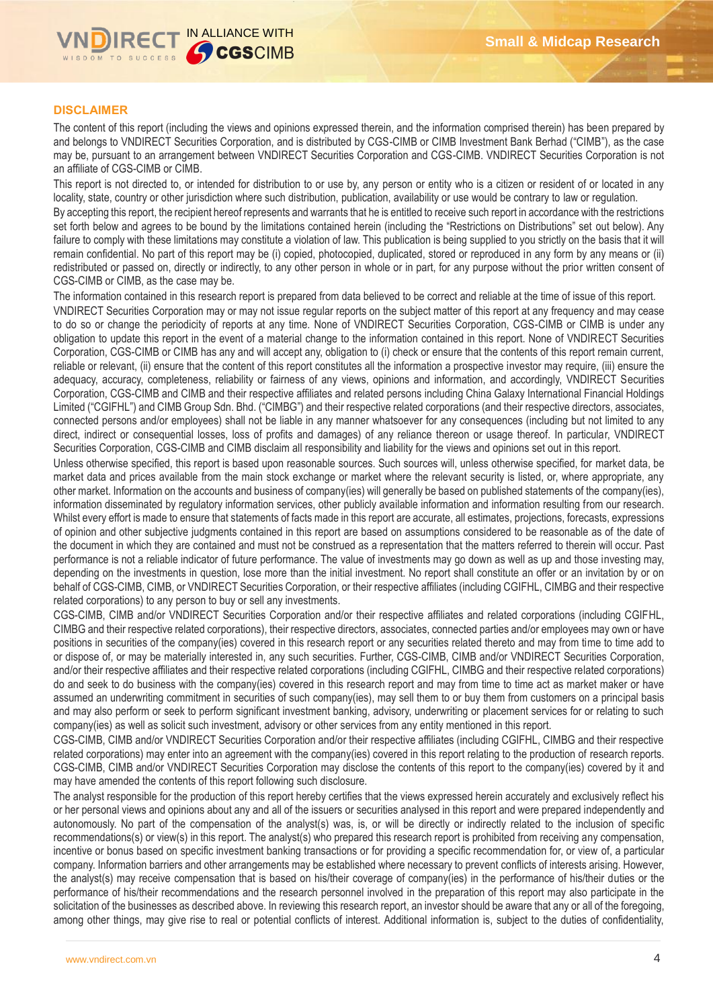

## **DISCLAIMER**

The content of this report (including the views and opinions expressed therein, and the information comprised therein) has been prepared by and belongs to VNDIRECT Securities Corporation, and is distributed by CGS-CIMB or CIMB Investment Bank Berhad ("CIMB"), as the case may be, pursuant to an arrangement between VNDIRECT Securities Corporation and CGS-CIMB. VNDIRECT Securities Corporation is not an affiliate of CGS-CIMB or CIMB.

This report is not directed to, or intended for distribution to or use by, any person or entity who is a citizen or resident of or located in any locality, state, country or other jurisdiction where such distribution, publication, availability or use would be contrary to law or regulation.

By accepting this report, the recipient hereof represents and warrants that he is entitled to receive such report in accordance with the restrictions set forth below and agrees to be bound by the limitations contained herein (including the "Restrictions on Distributions" set out below). Any failure to comply with these limitations may constitute a violation of law. This publication is being supplied to you strictly on the basis that it will remain confidential. No part of this report may be (i) copied, photocopied, duplicated, stored or reproduced in any form by any means or (ii) redistributed or passed on, directly or indirectly, to any other person in whole or in part, for any purpose without the prior written consent of CGS-CIMB or CIMB, as the case may be.

The information contained in this research report is prepared from data believed to be correct and reliable at the time of issue of this report. VNDIRECT Securities Corporation may or may not issue regular reports on the subject matter of this report at any frequency and may cease to do so or change the periodicity of reports at any time. None of VNDIRECT Securities Corporation, CGS-CIMB or CIMB is under any obligation to update this report in the event of a material change to the information contained in this report. None of VNDIRECT Securities Corporation, CGS-CIMB or CIMB has any and will accept any, obligation to (i) check or ensure that the contents of this report remain current, reliable or relevant, (ii) ensure that the content of this report constitutes all the information a prospective investor may require, (iii) ensure the adequacy, accuracy, completeness, reliability or fairness of any views, opinions and information, and accordingly, VNDIRECT Securities Corporation, CGS-CIMB and CIMB and their respective affiliates and related persons including China Galaxy International Financial Holdings Limited ("CGIFHL") and CIMB Group Sdn. Bhd. ("CIMBG") and their respective related corporations (and their respective directors, associates, connected persons and/or employees) shall not be liable in any manner whatsoever for any consequences (including but not limited to any direct, indirect or consequential losses, loss of profits and damages) of any reliance thereon or usage thereof. In particular, VNDIRECT Securities Corporation, CGS-CIMB and CIMB disclaim all responsibility and liability for the views and opinions set out in this report.

Unless otherwise specified, this report is based upon reasonable sources. Such sources will, unless otherwise specified, for market data, be market data and prices available from the main stock exchange or market where the relevant security is listed, or, where appropriate, any other market. Information on the accounts and business of company(ies) will generally be based on published statements of the company(ies), information disseminated by regulatory information services, other publicly available information and information resulting from our research. Whilst every effort is made to ensure that statements of facts made in this report are accurate, all estimates, projections, forecasts, expressions of opinion and other subjective judgments contained in this report are based on assumptions considered to be reasonable as of the date of the document in which they are contained and must not be construed as a representation that the matters referred to therein will occur. Past performance is not a reliable indicator of future performance. The value of investments may go down as well as up and those investing may, depending on the investments in question, lose more than the initial investment. No report shall constitute an offer or an invitation by or on behalf of CGS-CIMB, CIMB, or VNDIRECT Securities Corporation, or their respective affiliates (including CGIFHL, CIMBG and their respective related corporations) to any person to buy or sell any investments.

CGS-CIMB, CIMB and/or VNDIRECT Securities Corporation and/or their respective affiliates and related corporations (including CGIFHL, CIMBG and their respective related corporations), their respective directors, associates, connected parties and/or employees may own or have positions in securities of the company(ies) covered in this research report or any securities related thereto and may from time to time add to or dispose of, or may be materially interested in, any such securities. Further, CGS-CIMB, CIMB and/or VNDIRECT Securities Corporation, and/or their respective affiliates and their respective related corporations (including CGIFHL, CIMBG and their respective related corporations) do and seek to do business with the company(ies) covered in this research report and may from time to time act as market maker or have assumed an underwriting commitment in securities of such company(ies), may sell them to or buy them from customers on a principal basis and may also perform or seek to perform significant investment banking, advisory, underwriting or placement services for or relating to such company(ies) as well as solicit such investment, advisory or other services from any entity mentioned in this report.

CGS-CIMB, CIMB and/or VNDIRECT Securities Corporation and/or their respective affiliates (including CGIFHL, CIMBG and their respective related corporations) may enter into an agreement with the company(ies) covered in this report relating to the production of research reports. CGS-CIMB, CIMB and/or VNDIRECT Securities Corporation may disclose the contents of this report to the company(ies) covered by it and may have amended the contents of this report following such disclosure.

The analyst responsible for the production of this report hereby certifies that the views expressed herein accurately and exclusively reflect his or her personal views and opinions about any and all of the issuers or securities analysed in this report and were prepared independently and autonomously. No part of the compensation of the analyst(s) was, is, or will be directly or indirectly related to the inclusion of specific recommendations(s) or view(s) in this report. The analyst(s) who prepared this research report is prohibited from receiving any compensation, incentive or bonus based on specific investment banking transactions or for providing a specific recommendation for, or view of, a particular company. Information barriers and other arrangements may be established where necessary to prevent conflicts of interests arising. However, the analyst(s) may receive compensation that is based on his/their coverage of company(ies) in the performance of his/their duties or the performance of his/their recommendations and the research personnel involved in the preparation of this report may also participate in the solicitation of the businesses as described above. In reviewing this research report, an investor should be aware that any or all of the foregoing, among other things, may give rise to real or potential conflicts of interest. Additional information is, subject to the duties of confidentiality,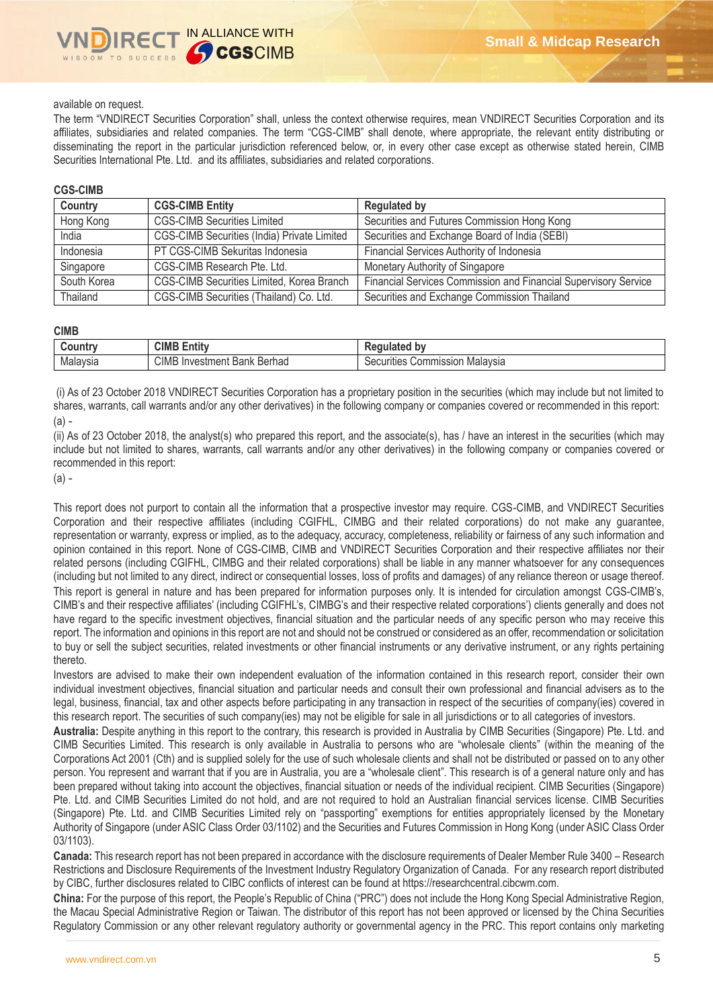## available on request.

The term "VNDIRECT Securities Corporation" shall, unless the context otherwise requires, mean VNDIRECT Securities Corporation and its affiliates, subsidiaries and related companies. The term "CGS-CIMB" shall denote, where appropriate, the relevant entity distributing or disseminating the report in the particular jurisdiction referenced below, or, in every other case except as otherwise stated herein, CIMB Securities International Pte. Ltd. and its affiliates, subsidiaries and related corporations.

## **CGS-CIMB**

| Country     | <b>CGS-CIMB Entity</b>                      | <b>Regulated by</b>                                             |
|-------------|---------------------------------------------|-----------------------------------------------------------------|
| Hong Kong   | <b>CGS-CIMB Securities Limited</b>          | Securities and Futures Commission Hong Kong                     |
| India       | CGS-CIMB Securities (India) Private Limited | Securities and Exchange Board of India (SEBI)                   |
| Indonesia   | PT CGS-CIMB Sekuritas Indonesia             | Financial Services Authority of Indonesia                       |
| Singapore   | CGS-CIMB Research Pte. Ltd.                 | Monetary Authority of Singapore                                 |
| South Korea | CGS-CIMB Securities Limited, Korea Branch   | Financial Services Commission and Financial Supervisory Service |
| Thailand    | CGS-CIMB Securities (Thailand) Co. Ltd.     | Securities and Exchange Commission Thailand                     |

### **CIMB**

| ountr    | <b>CIMB</b><br>$\overline{1}$<br>Entity       | <b>Last</b><br>11                              |
|----------|-----------------------------------------------|------------------------------------------------|
| Malaysia | <b>CIMB</b><br>Berhad<br>. Investment<br>Bank | Malavsia<br>ommissior<br>ecurities<br>ואר<br>u |

(i) As of 23 October 2018 VNDIRECT Securities Corporation has a proprietary position in the securities (which may include but not limited to shares, warrants, call warrants and/or any other derivatives) in the following company or companies covered or recommended in this report: (a) -

(ii) As of 23 October 2018, the analyst(s) who prepared this report, and the associate(s), has / have an interest in the securities (which may include but not limited to shares, warrants, call warrants and/or any other derivatives) in the following company or companies covered or recommended in this report:

(a) -

This report does not purport to contain all the information that a prospective investor may require. CGS-CIMB, and VNDIRECT Securities Corporation and their respective affiliates (including CGIFHL, CIMBG and their related corporations) do not make any guarantee, representation or warranty, express or implied, as to the adequacy, accuracy, completeness, reliability or fairness of any such information and opinion contained in this report. None of CGS-CIMB, CIMB and VNDIRECT Securities Corporation and their respective affiliates nor their related persons (including CGIFHL, CIMBG and their related corporations) shall be liable in any manner whatsoever for any consequences (including but not limited to any direct, indirect or consequential losses, loss of profits and damages) of any reliance thereon or usage thereof. This report is general in nature and has been prepared for information purposes only. It is intended for circulation amongst CGS-CIMB's, CIMB's and their respective affiliates' (including CGIFHL's, CIMBG's and their respective related corporations') clients generally and does not have regard to the specific investment objectives, financial situation and the particular needs of any specific person who may receive this report. The information and opinions in this report are not and should not be construed or considered as an offer, recommendation or solicitation to buy or sell the subject securities, related investments or other financial instruments or any derivative instrument, or any rights pertaining thereto.

Investors are advised to make their own independent evaluation of the information contained in this research report, consider their own individual investment objectives, financial situation and particular needs and consult their own professional and financial advisers as to the legal, business, financial, tax and other aspects before participating in any transaction in respect of the securities of company(ies) covered in this research report. The securities of such company(ies) may not be eligible for sale in all jurisdictions or to all categories of investors.

**Australia:** Despite anything in this report to the contrary, this research is provided in Australia by CIMB Securities (Singapore) Pte. Ltd. and CIMB Securities Limited. This research is only available in Australia to persons who are "wholesale clients" (within the meaning of the Corporations Act 2001 (Cth) and is supplied solely for the use of such wholesale clients and shall not be distributed or passed on to any other person. You represent and warrant that if you are in Australia, you are a "wholesale client". This research is of a general nature only and has been prepared without taking into account the objectives, financial situation or needs of the individual recipient. CIMB Securities (Singapore) Pte. Ltd. and CIMB Securities Limited do not hold, and are not required to hold an Australian financial services license. CIMB Securities (Singapore) Pte. Ltd. and CIMB Securities Limited rely on "passporting" exemptions for entities appropriately licensed by the Monetary Authority of Singapore (under ASIC Class Order 03/1102) and the Securities and Futures Commission in Hong Kong (under ASIC Class Order 03/1103).

**Canada:** This research report has not been prepared in accordance with the disclosure requirements of Dealer Member Rule 3400 – Research Restrictions and Disclosure Requirements of the Investment Industry Regulatory Organization of Canada. For any research report distributed by CIBC, further disclosures related to CIBC conflicts of interest can be found at https://researchcentral.cibcwm.com.

**China:** For the purpose of this report, the People's Republic of China ("PRC") does not include the Hong Kong Special Administrative Region, the Macau Special Administrative Region or Taiwan. The distributor of this report has not been approved or licensed by the China Securities Regulatory Commission or any other relevant regulatory authority or governmental agency in the PRC. This report contains only marketing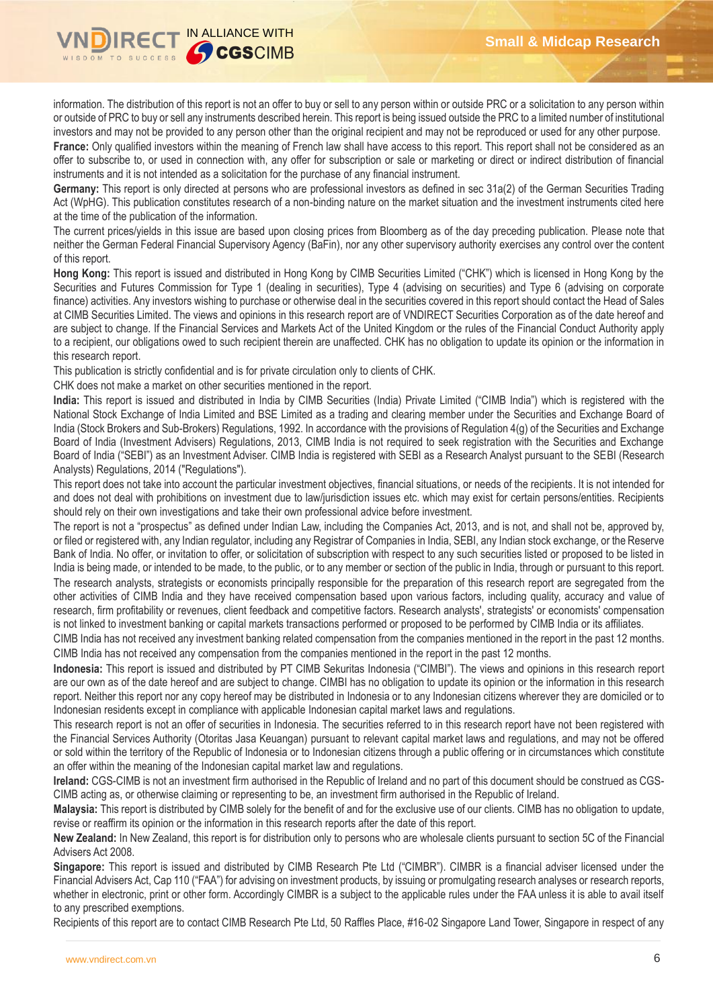

information. The distribution of this report is not an offer to buy or sell to any person within or outside PRC or a solicitation to any person within or outside of PRC to buy or sell any instruments described herein. This report is being issued outside the PRC to a limited number of institutional investors and may not be provided to any person other than the original recipient and may not be reproduced or used for any other purpose.

France: Only qualified investors within the meaning of French law shall have access to this report. This report shall not be considered as an offer to subscribe to, or used in connection with, any offer for subscription or sale or marketing or direct or indirect distribution of financial instruments and it is not intended as a solicitation for the purchase of any financial instrument.

**Germany:** This report is only directed at persons who are professional investors as defined in sec 31a(2) of the German Securities Trading Act (WpHG). This publication constitutes research of a non-binding nature on the market situation and the investment instruments cited here at the time of the publication of the information.

The current prices/yields in this issue are based upon closing prices from Bloomberg as of the day preceding publication. Please note that neither the German Federal Financial Supervisory Agency (BaFin), nor any other supervisory authority exercises any control over the content of this report.

**Hong Kong:** This report is issued and distributed in Hong Kong by CIMB Securities Limited ("CHK") which is licensed in Hong Kong by the Securities and Futures Commission for Type 1 (dealing in securities), Type 4 (advising on securities) and Type 6 (advising on corporate finance) activities. Any investors wishing to purchase or otherwise deal in the securities covered in this report should contact the Head of Sales at CIMB Securities Limited. The views and opinions in this research report are of VNDIRECT Securities Corporation as of the date hereof and are subject to change. If the Financial Services and Markets Act of the United Kingdom or the rules of the Financial Conduct Authority apply to a recipient, our obligations owed to such recipient therein are unaffected. CHK has no obligation to update its opinion or the information in this research report.

This publication is strictly confidential and is for private circulation only to clients of CHK.

CHK does not make a market on other securities mentioned in the report.

**India:** This report is issued and distributed in India by CIMB Securities (India) Private Limited ("CIMB India") which is registered with the National Stock Exchange of India Limited and BSE Limited as a trading and clearing member under the Securities and Exchange Board of India (Stock Brokers and Sub-Brokers) Regulations, 1992. In accordance with the provisions of Regulation 4(g) of the Securities and Exchange Board of India (Investment Advisers) Regulations, 2013, CIMB India is not required to seek registration with the Securities and Exchange Board of India ("SEBI") as an Investment Adviser. CIMB India is registered with SEBI as a Research Analyst pursuant to the SEBI (Research Analysts) Regulations, 2014 ("Regulations").

This report does not take into account the particular investment objectives, financial situations, or needs of the recipients. It is not intended for and does not deal with prohibitions on investment due to law/jurisdiction issues etc. which may exist for certain persons/entities. Recipients should rely on their own investigations and take their own professional advice before investment.

The report is not a "prospectus" as defined under Indian Law, including the Companies Act, 2013, and is not, and shall not be, approved by, or filed or registered with, any Indian regulator, including any Registrar of Companies in India, SEBI, any Indian stock exchange, or the Reserve Bank of India. No offer, or invitation to offer, or solicitation of subscription with respect to any such securities listed or proposed to be listed in India is being made, or intended to be made, to the public, or to any member or section of the public in India, through or pursuant to this report. The research analysts, strategists or economists principally responsible for the preparation of this research report are segregated from the other activities of CIMB India and they have received compensation based upon various factors, including quality, accuracy and value of research, firm profitability or revenues, client feedback and competitive factors. Research analysts', strategists' or economists' compensation is not linked to investment banking or capital markets transactions performed or proposed to be performed by CIMB India or its affiliates.

CIMB India has not received any investment banking related compensation from the companies mentioned in the report in the past 12 months. CIMB India has not received any compensation from the companies mentioned in the report in the past 12 months.

**Indonesia:** This report is issued and distributed by PT CIMB Sekuritas Indonesia ("CIMBI"). The views and opinions in this research report are our own as of the date hereof and are subject to change. CIMBI has no obligation to update its opinion or the information in this research report. Neither this report nor any copy hereof may be distributed in Indonesia or to any Indonesian citizens wherever they are domiciled or to Indonesian residents except in compliance with applicable Indonesian capital market laws and regulations.

This research report is not an offer of securities in Indonesia. The securities referred to in this research report have not been registered with the Financial Services Authority (Otoritas Jasa Keuangan) pursuant to relevant capital market laws and regulations, and may not be offered or sold within the territory of the Republic of Indonesia or to Indonesian citizens through a public offering or in circumstances which constitute an offer within the meaning of the Indonesian capital market law and regulations.

**Ireland:** CGS-CIMB is not an investment firm authorised in the Republic of Ireland and no part of this document should be construed as CGS-CIMB acting as, or otherwise claiming or representing to be, an investment firm authorised in the Republic of Ireland.

**Malaysia:** This report is distributed by CIMB solely for the benefit of and for the exclusive use of our clients. CIMB has no obligation to update, revise or reaffirm its opinion or the information in this research reports after the date of this report.

**New Zealand:** In New Zealand, this report is for distribution only to persons who are wholesale clients pursuant to section 5C of the Financial Advisers Act 2008.

**Singapore:** This report is issued and distributed by CIMB Research Pte Ltd ("CIMBR"). CIMBR is a financial adviser licensed under the Financial Advisers Act, Cap 110 ("FAA") for advising on investment products, by issuing or promulgating research analyses or research reports, whether in electronic, print or other form. Accordingly CIMBR is a subject to the applicable rules under the FAA unless it is able to avail itself to any prescribed exemptions.

Recipients of this report are to contact CIMB Research Pte Ltd, 50 Raffles Place, #16-02 Singapore Land Tower, Singapore in respect of any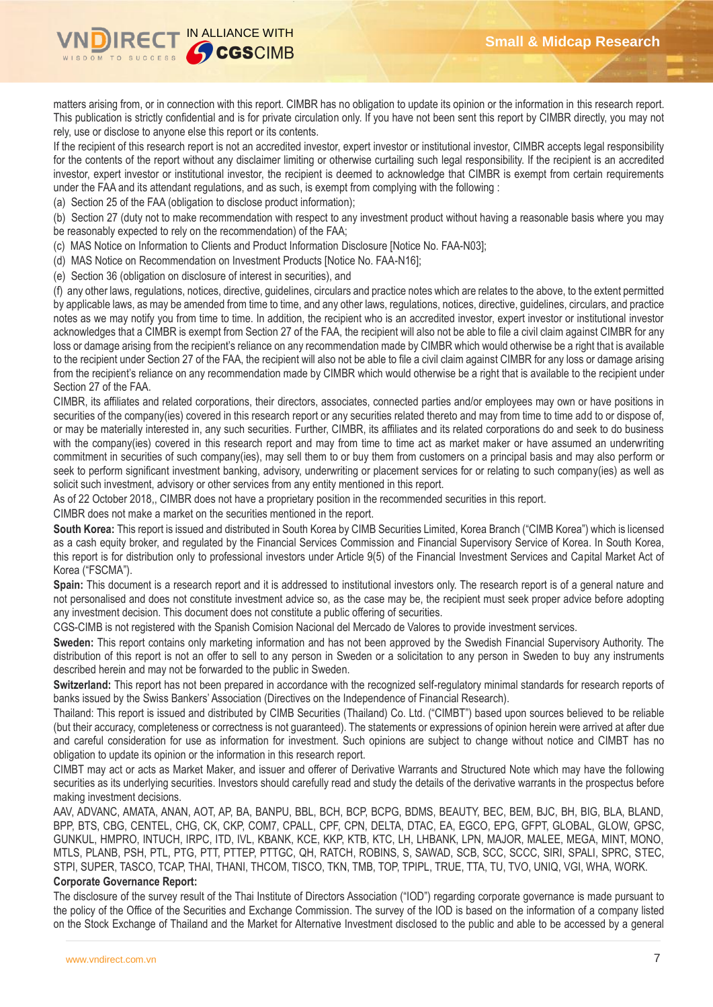

matters arising from, or in connection with this report. CIMBR has no obligation to update its opinion or the information in this research report. This publication is strictly confidential and is for private circulation only. If you have not been sent this report by CIMBR directly, you may not rely, use or disclose to anyone else this report or its contents.

If the recipient of this research report is not an accredited investor, expert investor or institutional investor, CIMBR accepts legal responsibility for the contents of the report without any disclaimer limiting or otherwise curtailing such legal responsibility. If the recipient is an accredited investor, expert investor or institutional investor, the recipient is deemed to acknowledge that CIMBR is exempt from certain requirements under the FAA and its attendant regulations, and as such, is exempt from complying with the following :

(a) Section 25 of the FAA (obligation to disclose product information);

(b) Section 27 (duty not to make recommendation with respect to any investment product without having a reasonable basis where you may be reasonably expected to rely on the recommendation) of the FAA;

(c) MAS Notice on Information to Clients and Product Information Disclosure [Notice No. FAA-N03];

(d) MAS Notice on Recommendation on Investment Products [Notice No. FAA-N16];

(e) Section 36 (obligation on disclosure of interest in securities), and

(f) any other laws, regulations, notices, directive, guidelines, circulars and practice notes which are relates to the above, to the extent permitted by applicable laws, as may be amended from time to time, and any other laws, regulations, notices, directive, guidelines, circulars, and practice notes as we may notify you from time to time. In addition, the recipient who is an accredited investor, expert investor or institutional investor acknowledges that a CIMBR is exempt from Section 27 of the FAA, the recipient will also not be able to file a civil claim against CIMBR for any loss or damage arising from the recipient's reliance on any recommendation made by CIMBR which would otherwise be a right that is available to the recipient under Section 27 of the FAA, the recipient will also not be able to file a civil claim against CIMBR for any loss or damage arising from the recipient's reliance on any recommendation made by CIMBR which would otherwise be a right that is available to the recipient under Section 27 of the FAA.

CIMBR, its affiliates and related corporations, their directors, associates, connected parties and/or employees may own or have positions in securities of the company(ies) covered in this research report or any securities related thereto and may from time to time add to or dispose of, or may be materially interested in, any such securities. Further, CIMBR, its affiliates and its related corporations do and seek to do business with the company(ies) covered in this research report and may from time to time act as market maker or have assumed an underwriting commitment in securities of such company(ies), may sell them to or buy them from customers on a principal basis and may also perform or seek to perform significant investment banking, advisory, underwriting or placement services for or relating to such company(ies) as well as solicit such investment, advisory or other services from any entity mentioned in this report.

As of 22 October 2018,, CIMBR does not have a proprietary position in the recommended securities in this report.

CIMBR does not make a market on the securities mentioned in the report.

**South Korea:** This report is issued and distributed in South Korea by CIMB Securities Limited, Korea Branch ("CIMB Korea") which is licensed as a cash equity broker, and regulated by the Financial Services Commission and Financial Supervisory Service of Korea. In South Korea, this report is for distribution only to professional investors under Article 9(5) of the Financial Investment Services and Capital Market Act of Korea ("FSCMA").

**Spain:** This document is a research report and it is addressed to institutional investors only. The research report is of a general nature and not personalised and does not constitute investment advice so, as the case may be, the recipient must seek proper advice before adopting any investment decision. This document does not constitute a public offering of securities.

CGS-CIMB is not registered with the Spanish Comision Nacional del Mercado de Valores to provide investment services.

**Sweden:** This report contains only marketing information and has not been approved by the Swedish Financial Supervisory Authority. The distribution of this report is not an offer to sell to any person in Sweden or a solicitation to any person in Sweden to buy any instruments described herein and may not be forwarded to the public in Sweden.

**Switzerland:** This report has not been prepared in accordance with the recognized self-regulatory minimal standards for research reports of banks issued by the Swiss Bankers' Association (Directives on the Independence of Financial Research).

Thailand: This report is issued and distributed by CIMB Securities (Thailand) Co. Ltd. ("CIMBT") based upon sources believed to be reliable (but their accuracy, completeness or correctness is not guaranteed). The statements or expressions of opinion herein were arrived at after due and careful consideration for use as information for investment. Such opinions are subject to change without notice and CIMBT has no obligation to update its opinion or the information in this research report.

CIMBT may act or acts as Market Maker, and issuer and offerer of Derivative Warrants and Structured Note which may have the following securities as its underlying securities. Investors should carefully read and study the details of the derivative warrants in the prospectus before making investment decisions.

AAV, ADVANC, AMATA, ANAN, AOT, AP, BA, BANPU, BBL, BCH, BCP, BCPG, BDMS, BEAUTY, BEC, BEM, BJC, BH, BIG, BLA, BLAND, BPP, BTS, CBG, CENTEL, CHG, CK, CKP, COM7, CPALL, CPF, CPN, DELTA, DTAC, EA, EGCO, EPG, GFPT, GLOBAL, GLOW, GPSC, GUNKUL, HMPRO, INTUCH, IRPC, ITD, IVL, KBANK, KCE, KKP, KTB, KTC, LH, LHBANK, LPN, MAJOR, MALEE, MEGA, MINT, MONO, MTLS, PLANB, PSH, PTL, PTG, PTT, PTTEP, PTTGC, QH, RATCH, ROBINS, S, SAWAD, SCB, SCC, SCCC, SIRI, SPALI, SPRC, STEC, STPI, SUPER, TASCO, TCAP, THAI, THANI, THCOM, TISCO, TKN, TMB, TOP, TPIPL, TRUE, TTA, TU, TVO, UNIQ, VGI, WHA, WORK.

## **Corporate Governance Report:**

The disclosure of the survey result of the Thai Institute of Directors Association ("IOD") regarding corporate governance is made pursuant to the policy of the Office of the Securities and Exchange Commission. The survey of the IOD is based on the information of a company listed on the Stock Exchange of Thailand and the Market for Alternative Investment disclosed to the public and able to be accessed by a general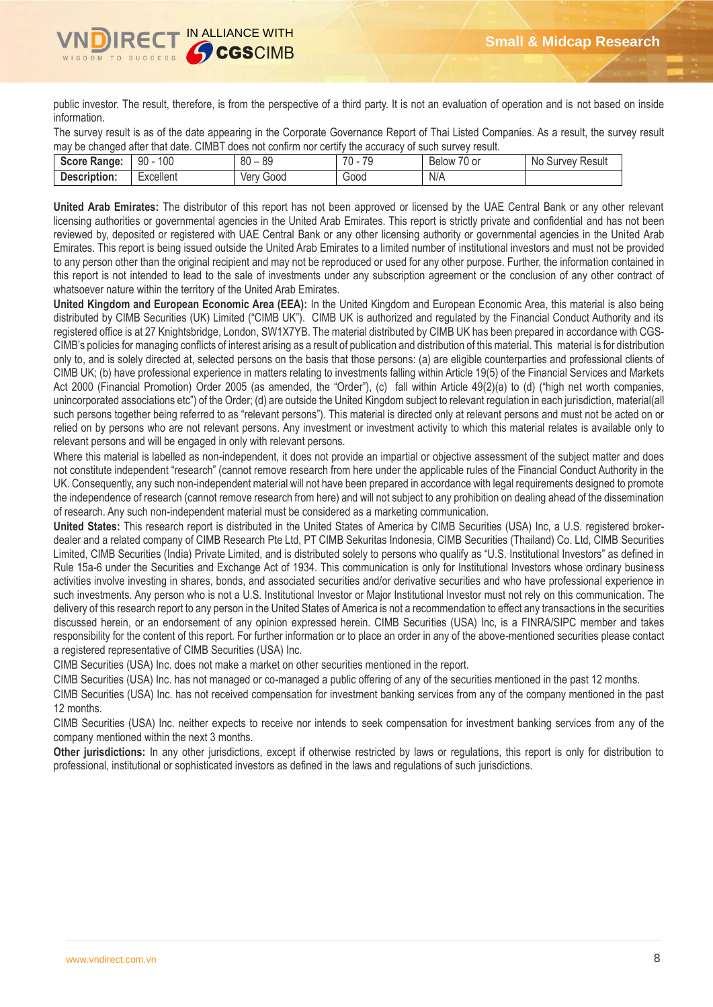

public investor. The result, therefore, is from the perspective of a third party. It is not an evaluation of operation and is not based on inside information.

The survey result is as of the date appearing in the Corporate Governance Report of Thai Listed Companies. As a result, the survey result may be changed after that date. CIMBT does not confirm nor certify the accuracy of such survey result.

| <b>Score Range:</b> | 100<br>90 | $\circ$<br>80<br>ŏყ | 70<br>70<br>- 14 | $\sim$ $\sim$<br>$\sim$<br>/0 or<br>Below | Survey Result<br>No. |
|---------------------|-----------|---------------------|------------------|-------------------------------------------|----------------------|
| Description:        | -xcellent | Good<br>Verv        | 00dر             | N/A                                       |                      |

**United Arab Emirates:** The distributor of this report has not been approved or licensed by the UAE Central Bank or any other relevant licensing authorities or governmental agencies in the United Arab Emirates. This report is strictly private and confidential and has not been reviewed by, deposited or registered with UAE Central Bank or any other licensing authority or governmental agencies in the United Arab Emirates. This report is being issued outside the United Arab Emirates to a limited number of institutional investors and must not be provided to any person other than the original recipient and may not be reproduced or used for any other purpose. Further, the information contained in this report is not intended to lead to the sale of investments under any subscription agreement or the conclusion of any other contract of whatsoever nature within the territory of the United Arab Emirates.

**United Kingdom and European Economic Area (EEA):** In the United Kingdom and European Economic Area, this material is also being distributed by CIMB Securities (UK) Limited ("CIMB UK"). CIMB UK is authorized and regulated by the Financial Conduct Authority and its registered office is at 27 Knightsbridge, London, SW1X7YB. The material distributed by CIMB UK has been prepared in accordance with CGS-CIMB's policies for managing conflicts of interest arising as a result of publication and distribution of this material. This material is for distribution only to, and is solely directed at, selected persons on the basis that those persons: (a) are eligible counterparties and professional clients of CIMB UK; (b) have professional experience in matters relating to investments falling within Article 19(5) of the Financial Services and Markets Act 2000 (Financial Promotion) Order 2005 (as amended, the "Order"), (c) fall within Article 49(2)(a) to (d) ("high net worth companies, unincorporated associations etc") of the Order; (d) are outside the United Kingdom subject to relevant regulation in each jurisdiction, material(all such persons together being referred to as "relevant persons"). This material is directed only at relevant persons and must not be acted on or relied on by persons who are not relevant persons. Any investment or investment activity to which this material relates is available only to relevant persons and will be engaged in only with relevant persons.

Where this material is labelled as non-independent, it does not provide an impartial or objective assessment of the subject matter and does not constitute independent "research" (cannot remove research from here under the applicable rules of the Financial Conduct Authority in the UK. Consequently, any such non-independent material will not have been prepared in accordance with legal requirements designed to promote the independence of research (cannot remove research from here) and will not subject to any prohibition on dealing ahead of the dissemination of research. Any such non-independent material must be considered as a marketing communication.

**United States:** This research report is distributed in the United States of America by CIMB Securities (USA) Inc, a U.S. registered brokerdealer and a related company of CIMB Research Pte Ltd, PT CIMB Sekuritas Indonesia, CIMB Securities (Thailand) Co. Ltd, CIMB Securities Limited, CIMB Securities (India) Private Limited, and is distributed solely to persons who qualify as "U.S. Institutional Investors" as defined in Rule 15a-6 under the Securities and Exchange Act of 1934. This communication is only for Institutional Investors whose ordinary business activities involve investing in shares, bonds, and associated securities and/or derivative securities and who have professional experience in such investments. Any person who is not a U.S. Institutional Investor or Major Institutional Investor must not rely on this communication. The delivery of this research report to any person in the United States of America is not a recommendation to effect any transactions in the securities discussed herein, or an endorsement of any opinion expressed herein. CIMB Securities (USA) Inc, is a FINRA/SIPC member and takes responsibility for the content of this report. For further information or to place an order in any of the above-mentioned securities please contact a registered representative of CIMB Securities (USA) Inc.

CIMB Securities (USA) Inc. does not make a market on other securities mentioned in the report.

CIMB Securities (USA) Inc. has not managed or co-managed a public offering of any of the securities mentioned in the past 12 months.

CIMB Securities (USA) Inc. has not received compensation for investment banking services from any of the company mentioned in the past 12 months.

CIMB Securities (USA) Inc. neither expects to receive nor intends to seek compensation for investment banking services from any of the company mentioned within the next 3 months.

**Other jurisdictions:** In any other jurisdictions, except if otherwise restricted by laws or regulations, this report is only for distribution to professional, institutional or sophisticated investors as defined in the laws and regulations of such jurisdictions.